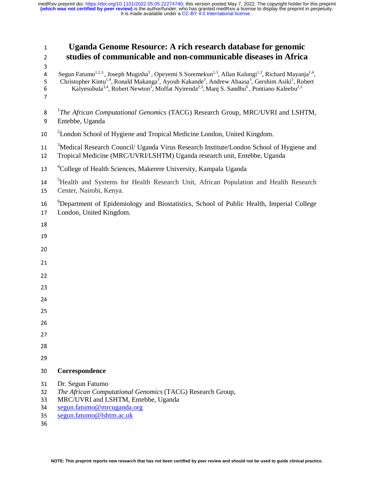| <b>Uganda Genome Resource: A rich research database for genomic</b><br>studies of communicable and non-communicable diseases in Africa                                                                                                                                                                                                      |
|---------------------------------------------------------------------------------------------------------------------------------------------------------------------------------------------------------------------------------------------------------------------------------------------------------------------------------------------|
| Segun Fatumo <sup>1,2,3</sup> , Joseph Mugisha <sup>3</sup> , Opeyemi S Soremekun <sup>1,3</sup> , Allan Kalungi <sup>1,3</sup> , Richard Mayanja <sup>1,4</sup> , Christopher Kintu <sup>1,4</sup> , Ronald Makanga <sup>3</sup> , Ayoub Kakande <sup>3</sup> , Andrew Abaasa <sup>3</sup> , Gershim Asiki <sup>5</sup> , Robert Kalyesubu |
| <sup>1</sup> The African Computational Genomics (TACG) Research Group, MRC/UVRI and LSHTM,<br>Entebbe, Uganda                                                                                                                                                                                                                               |
| <sup>2</sup> London School of Hygiene and Tropical Medicine London, United Kingdom.                                                                                                                                                                                                                                                         |
| <sup>3</sup> Medical Research Council/ Uganda Virus Research Institute/London School of Hygiene and<br>Tropical Medicine (MRC/UVRI/LSHTM) Uganda research unit, Entebbe, Uganda                                                                                                                                                             |
| <sup>4</sup> College of Health Sciences, Makerere University, Kampala Uganda                                                                                                                                                                                                                                                                |
| <sup>5</sup> Health and Systems for Health Research Unit, African Population and Health Research<br>Center, Nairobi, Kenya.                                                                                                                                                                                                                 |
| <sup>6</sup> Department of Epidemiology and Biostatistics, School of Public Health, Imperial College<br>London, United Kingdom.                                                                                                                                                                                                             |
|                                                                                                                                                                                                                                                                                                                                             |
|                                                                                                                                                                                                                                                                                                                                             |
|                                                                                                                                                                                                                                                                                                                                             |
|                                                                                                                                                                                                                                                                                                                                             |
|                                                                                                                                                                                                                                                                                                                                             |
|                                                                                                                                                                                                                                                                                                                                             |
|                                                                                                                                                                                                                                                                                                                                             |
|                                                                                                                                                                                                                                                                                                                                             |
|                                                                                                                                                                                                                                                                                                                                             |
|                                                                                                                                                                                                                                                                                                                                             |
|                                                                                                                                                                                                                                                                                                                                             |
| Correspondence                                                                                                                                                                                                                                                                                                                              |
| Dr. Segun Fatumo<br>The African Computational Genomics (TACG) Research Group,<br>MRC/UVRI and LSHTM, Entebbe, Uganda<br>segun.fatumo@mrcuganda.org<br>segun.fatumo@lshtm.ac.uk                                                                                                                                                              |
|                                                                                                                                                                                                                                                                                                                                             |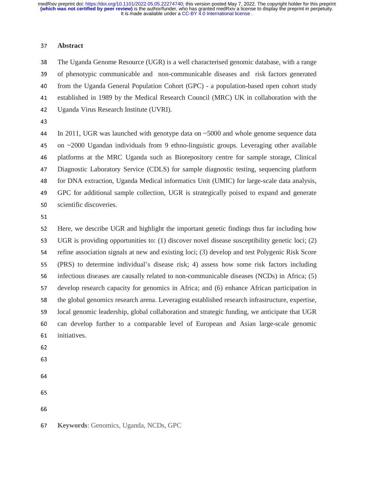#### <sup>37</sup>**Abstract**

<sup>38</sup>The Uganda Genome Resource (UGR) is a well characterised genomic database, with a range 39 of phenotypic communicable and non-communicable diseases and risk factors generated 40 from the Uganda General Population Cohort (GPC) - a population-based open cohort study <sup>41</sup>established in 1989 by the Medical Research Council (MRC) UK in collaboration with the 42 Uganda Virus Research Institute (UVRI).<br>43

<sup>44</sup>In 2011, UGR was launched with genotype data on ~5000 and whole genome sequence data 45 on  $\sim$ 2000 Ugandan individuals from 9 ethno-linguistic groups. Leveraging other available 46 platforms at the MRC Uganda such as Biorepository centre for sample storage, Clinical <sup>47</sup>Diagnostic Laboratory Service (CDLS) for sample diagnostic testing, sequencing platform <sup>48</sup>for DNA extraction, Uganda Medical informatics Unit (UMIC) for large-scale data analysis, <sup>49</sup>GPC for additional sample collection, UGR is strategically poised to expand and generate 50 scientific discoveries.

51

52 Here, we describe UGR and highlight the important genetic findings thus far including how<br>53 UGR is providing opportunities to: (1) discover novel disease susceptibility genetic loci; (2) UGR is providing opportunities to: (1) discover novel disease susceptibility genetic loci; (2) 54 refine association signals at new and existing loci; (3) develop and test Polygenic Risk Score <sup>55</sup>(PRS) to determine individual's disease risk; 4) assess how some risk factors including 56 infectious diseases are causally related to non-communicable diseases (NCDs) in Africa; (5) <sup>57</sup>develop research capacity for genomics in Africa; and (6) enhance African participation in 58 the global genomics research arena. Leveraging established research infrastructure, expertise, 59 local genomic leadership, global collaboration and strategic funding, we anticipate that UGR <sup>60</sup>can develop further to a comparable level of European and Asian large-scale genomic 61 initiatives.

- 62
- 63
- 64
- 
- 

<sup>67</sup>**Keywords**: Genomics, Uganda, NCDs, GPC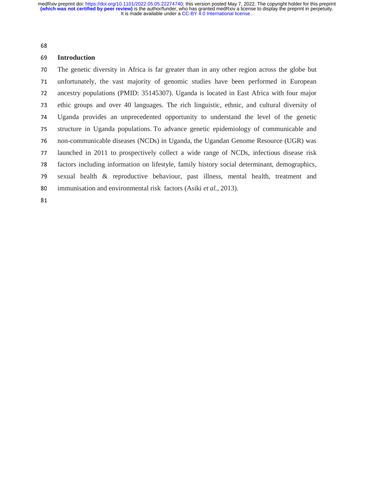68

#### <sup>69</sup>**Introduction**

<sup>70</sup>The genetic diversity in Africa is far greater than in any other region across the globe but 71 unfortunately, the vast majority of genomic studies have been performed in European <sup>72</sup>ancestry populations (PMID: 35145307). Uganda is located in East Africa with four major <sup>73</sup>ethic groups and over 40 languages. The rich linguistic, ethnic, and cultural diversity of 74 Uganda provides an unprecedented opportunity to understand the level of the genetic<br>75 structure in Uganda populations. To advance genetic epidemiology of communicable and 75 structure in Uganda populations. To advance genetic epidemiology of communicable and<br>76 non-communicable diseases (NCDs) in Uganda, the Ugandan Genome Resource (UGR) was non-communicable diseases (NCDs) in Uganda, the Ugandan Genome Resource (UGR) was 77 launched in 2011 to prospectively collect a wide range of NCDs, infectious disease risk<br>78 factors including information on lifestyle, family history social determinant, demographics, factors including information on lifestyle, family history social determinant, demographics, <sup>79</sup>sexual health & reproductive behaviour, past illness, mental health, treatment and 80 immunisation and environmental risk factors (Asiki *et al.*, 2013).

81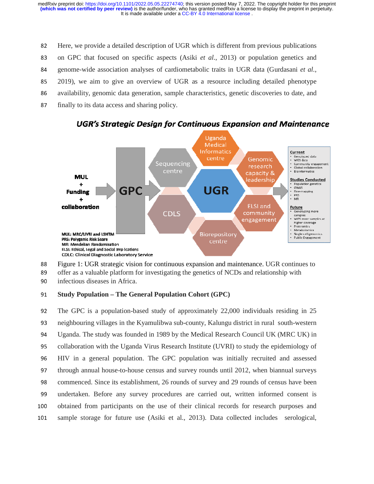82 Here, we provide a detailed description of UGR which is different from previous publications 83 on GPC that focused on specific aspects (Asiki *et al.*, 2013) or population genetics and 84 genome-wide association analyses of cardiometabolic traits in UGR data (Gurdasani *et al.*, <sup>85</sup>2019), we aim to give an overview of UGR as a resource including detailed phenotype 86 availability, genomic data generation, sample characteristics, genetic discoveries to date, and 87 finally to its data access and sharing policy.



**UGR's Strategic Design for Continuous Expansion and Maintenance** 

- 88 Figure 1: UGR strategic vision for continuous expansion and maintenance. UGR continues to<br>89 offer as a valuable platform for investigating the genetics of NCDs and relationship with
- 89 offer as a valuable platform for investigating the genetics of NCDs and relationship with<br>90 infectious diseases in Africa.
- infectious diseases in Africa.

# <sup>91</sup>**Study Population – The General Population Cohort (GPC)**

<sup>92</sup>The GPC is a population-based study of approximately 22,000 individuals residing in 25 93 neighbouring villages in the Kyamulibwa sub-county, Kalungu district in rural south-western <sup>94</sup>Uganda. The study was founded in 1989 by the Medical Research Council UK (MRC UK) in 95 collaboration with the Uganda Virus Research Institute (UVRI) to study the epidemiology of <sup>96</sup>HIV in a general population. The GPC population was initially recruited and assessed 97 through annual house-to-house census and survey rounds until 2012, when biannual surveys 98 commenced. Since its establishment, 26 rounds of survey and 29 rounds of census have been <sup>99</sup>undertaken. Before any survey procedures are carried out, written informed consent is 100 obtained from participants on the use of their clinical records for research purposes and 101 sample storage for future use (Asiki et al., 2013). Data collected includes serological,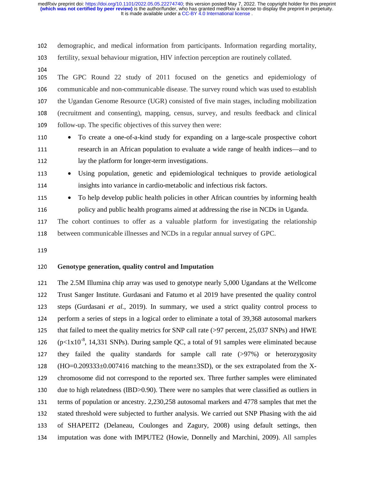102 demographic, and medical information from participants. Information regarding mortality, <sup>103</sup>fertility, sexual behaviour migration, HIV infection perception are routinely collated.

104

105 The GPC Round 22 study of 2011 focused on the genetics and epidemiology of 106 communicable and non-communicable disease. The survey round which was used to establish<br>107 the Ugandan Genome Resource (UGR) consisted of five main stages, including mobilization <sup>107</sup>the Ugandan Genome Resource (UGR) consisted of five main stages, including mobilization <sup>108</sup>(recruitment and consenting), mapping, census, survey, and results feedback and clinical 109 follow-up. The specific objectives of this survey then were:

- 110 To create a one-of-a-kind study for expanding on a large-scale prospective cohort <sup>111</sup>research in an African population to evaluate a wide range of health indices—and to 112 lay the platform for longer-term investigations.
- 
- 

<sup>113</sup>• Using population, genetic and epidemiological techniques to provide aetiological 114 insights into variance in cardio-metabolic and infectious risk factors.

**115** • To help develop public health policies in other African countries by informing health 116 policy and public health programs aimed at addressing the rise in NCDs in Uganda.<br>117 The cohort continues to offer as a valuable platform for investigating the relations

The cohort continues to offer as a valuable platform for investigating the relationship 118 between communicable illnesses and NCDs in a regular annual survey of GPC.

119

## <sup>120</sup>**Genotype generation, quality control and Imputation**

<sup>121</sup>The 2.5M Illumina chip array was used to genotype nearly 5,000 Ugandans at the Wellcome <sup>122</sup>Trust Sanger Institute. Gurdasani and Fatumo et al 2019 have presented the quality control <sup>123</sup>steps (Gurdasani *et al.*, 2019). In summary, we used a strict quality control process to 124 perform a series of steps in a logical order to eliminate a total of 39,368 autosomal markers that failed to meet the quality metrics for SNP call rate ( $>97$  percent, 25,037 SNPs) and HWE<br>126 ( $p<1x10^{-8}$ , 14,331 SNPs). During sample OC, a total of 91 samples were eliminated because  $(p<1x10^{-8}, 14,331$  SNPs). During sample QC, a total of 91 samples were eliminated because 127 they failed the quality standards for sample call rate  $(>97%)$  or heterozygosity 128 (HO=0.209333±0.007416 matching to the mean±3SD), or the sex extrapolated from the X-129 chromosome did not correspond to the reported sex. Three further samples were eliminated<br>130 due to high relatedness (IBD>0.90). There were no samples that were classified as outliers in due to high relatedness (IBD>0.90). There were no samples that were classified as outliers in 131 terms of population or ancestry. 2,230,258 autosomal markers and 4778 samples that met the 132 stated threshold were subjected to further analysis. We carried out SNP Phasing with the aid 133 of SHAPEIT2 (Delaneau, Coulonges and Zagury, 2008) using default settings, then <sup>134</sup>imputation was done with IMPUTE2 (Howie, Donnelly and Marchini, 2009). All samples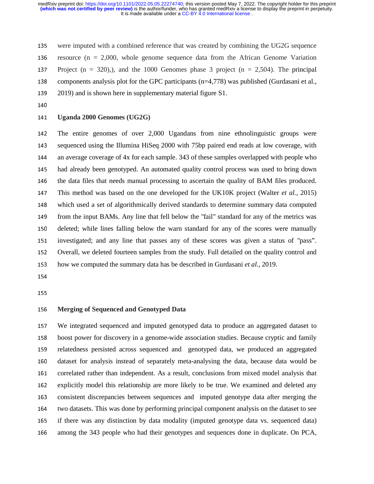135 were imputed with a combined reference that was created by combining the UG2G sequence 136 resource ( $n = 2,000$ , whole genome sequence data from the African Genome Variation 137 Project (n = 320),), and the 1000 Genomes phase 3 project (n = 2,504). The principal<br>138 components analysis plot for the GPC participants (n=4.778) was published (Gurdasani et al., components analysis plot for the GPC participants  $(n=4,778)$  was published (Gurdasani et al., 139 2019) and is shown here in supplementary material figure S1.

## <sup>141</sup>**Uganda 2000 Genomes (UG2G)**

142 The entire genomes of over 2,000 Ugandans from nine ethnolinguistic groups were<br>143 sequenced using the Illumina HiSeq 2000 with 75bp paired end reads at low coverage, with sequenced using the Illumina HiSeq 2000 with 75bp paired end reads at low coverage, with <sup>144</sup>an average coverage of 4x for each sample. 343 of these samples overlapped with people who 145 had already been genotyped. An automated quality control process was used to bring down<br>146 the data files that needs manual processing to ascertain the quality of BAM files produced. the data files that needs manual processing to ascertain the quality of BAM files produced. 147 This method was based on the one developed for the UK10K project (Walter *et al.*, 2015)<br>148 which used a set of algorithmically derived standards to determine summary data computed 148 which used a set of algorithmically derived standards to determine summary data computed<br>149 from the input BAMs. Any line that fell below the "fail" standard for any of the metrics was from the input BAMs. Any line that fell below the "fail" standard for any of the metrics was 150 deleted; while lines falling below the warn standard for any of the scores were manually <sup>151</sup>investigated; and any line that passes any of these scores was given a status of "pass". 152 Overall, we deleted fourteen samples from the study. Full detailed on the quality control and <sup>153</sup>how we computed the summary data has be described in Gurdasani *et al.*, 2019.

155

# <sup>156</sup>**Merging of Sequenced and Genotyped Data**

<sup>157</sup>We integrated sequenced and imputed genotyped data to produce an aggregated dataset to 158 boost power for discovery in a genome-wide association studies. Because cryptic and family<br>159 relatedness persisted across sequenced and genotyped data, we produced an aggregated <sup>159</sup>relatedness persisted across sequenced and genotyped data, we produced an aggregated 160 dataset for analysis instead of separately meta-analysing the data, because data would be<br>161 correlated rather than independent. As a result, conclusions from mixed model analysis that correlated rather than independent. As a result, conclusions from mixed model analysis that 162 explicitly model this relationship are more likely to be true. We examined and deleted any<br>163 consistent discrepancies between sequences and imputed genotype data after merging the <sup>163</sup>consistent discrepancies between sequences and imputed genotype data after merging the 164 two datasets. This was done by performing principal component analysis on the dataset to see <sup>165</sup>if there was any distinction by data modality (imputed genotype data vs. sequenced data) 166 among the 343 people who had their genotypes and sequences done in duplicate. On PCA,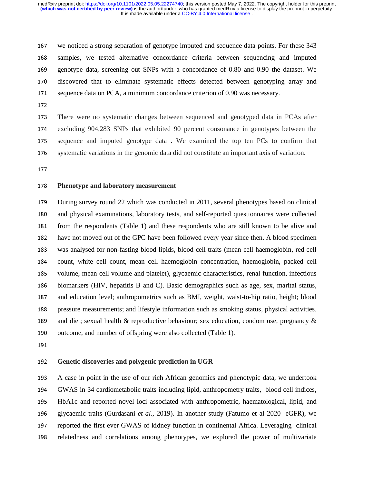167 we noticed a strong separation of genotype imputed and sequence data points. For these 343 <sup>168</sup>samples, we tested alternative concordance criteria between sequencing and imputed 169 genotype data, screening out SNPs with a concordance of 0.80 and 0.90 the dataset. We<br>170 discovered that to eliminate systematic effects detected between genotyping array and discovered that to eliminate systematic effects detected between genotyping array and 171 sequence data on PCA, a minimum concordance criterion of 0.90 was necessary.

173 There were no systematic changes between sequenced and genotyped data in PCAs after 174 excluding 904,283 SNPs that exhibited 90 percent consonance in genotypes between the<br>175 sequence and imputed genotype data. We examined the top ten PCs to confirm that sequence and imputed genotype data. We examined the top ten PCs to confirm that 176 systematic variations in the genomic data did not constitute an important axis of variation.

177

#### <sup>178</sup>**Phenotype and laboratory measurement**

179 During survey round 22 which was conducted in 2011, several phenotypes based on clinical 180 and physical examinations, laboratory tests, and self-reported questionnaires were collected 181 from the respondents (Table 1) and these respondents who are still known to be alive and 182 have not moved out of the GPC have been followed every year since then. A blood specimen<br>183 was analysed for non-fasting blood lipids, blood cell traits (mean cell haemoglobin, red cell was analysed for non-fasting blood lipids, blood cell traits (mean cell haemoglobin, red cell 184 count, white cell count, mean cell haemoglobin concentration, haemoglobin, packed cell 185 volume, mean cell volume and platelet), glycaemic characteristics, renal function, infectious 186 biomarkers (HIV, hepatitis B and C). Basic demographics such as age, sex, marital status, 187 and education level; anthropometrics such as BMI, weight, waist-to-hip ratio, height; blood<br>188 bressure measurements: and lifestyle information such as smoking status, physical activities. <sup>188</sup>pressure measurements; and lifestyle information such as smoking status, physical activities, 189 and diet; sexual health & reproductive behaviour; sex education, condom use, pregnancy & outcome, and number of offspring were also collected (Table 1). outcome, and number of offspring were also collected (Table 1).

191

# <sup>192</sup>**Genetic discoveries and polygenic prediction in UGR**

193 A case in point in the use of our rich African genomics and phenotypic data, we undertook<br>194 GWAS in 34 cardiometabolic traits including lipid, anthropometry traits, blood cell indices, GWAS in 34 cardiometabolic traits including lipid, anthropometry traits, blood cell indices, 195 HbA1c and reported novel loci associated with anthropometric, haematological, lipid, and<br>196 elvcaemic traits (Gurdasani *et al.*, 2019). In another study (Fatumo et al 2020 -eGFR), we <sup>196</sup>glycaemic traits (Gurdasani *et al.*, 2019). In another study (Fatumo et al 2020 -eGFR), we 197 reported the first ever GWAS of kidney function in continental Africa. Leveraging clinical 198 relatedness and correlations among phenotypes, we explored the power of multivariate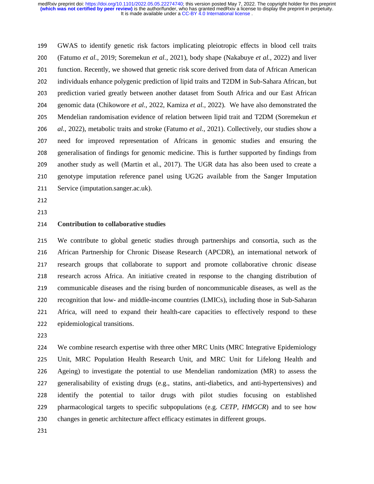<sup>199</sup>GWAS to identify genetic risk factors implicating pleiotropic effects in blood cell traits <sup>200</sup>(Fatumo *et al.*, 2019; Soremekun *et al.*, 2021), body shape (Nakabuye *et al.*, 2022) and liver 201 function. Recently, we showed that genetic risk score derived from data of African American<br>202 individuals enhance polygenic prediction of lipid traits and T2DM in Sub-Sahara African. but <sup>202</sup>individuals enhance polygenic prediction of lipid traits and T2DM in Sub-Sahara African, but 203 prediction varied greatly between another dataset from South Africa and our East African <sup>204</sup>genomic data (Chikowore *et al.*, 2022, Kamiza *et al.,* 2022). We have also demonstrated the <sup>205</sup>Mendelian randomisation evidence of relation between lipid trait and T2DM (Soremekun *et*  206 *al.*, 2022), metabolic traits and stroke (Fatumo *et al.*, 2021). Collectively, our studies show a<br>207 need for improved representation of Africans in genomic studies and ensuring the 207 need for improved representation of Africans in genomic studies and ensuring the<br>208 generalisation of findings for genomic medicine. This is further supported by findings from 208 generalisation of findings for genomic medicine. This is further supported by findings from<br>209 another study as well (Martin et al., 2017). The UGR data has also been used to create a another study as well (Martin et al., 2017). The UGR data has also been used to create a 210 genotype imputation reference panel using UG2G available from the Sanger Imputation<br>211 Service (imputation.sanger.ac.uk). Service (imputation.sanger.ac.uk).

- $212$ 212
- 213

#### <sup>214</sup>**Contribution to collaborative studies**

215 We contribute to global genetic studies through partnerships and consortia, such as the<br>216 African Partnership for Chronic Disease Research (APCDR), an international network of <sup>216</sup>African Partnership for Chronic Disease Research (APCDR), an international network of 217 research groups that collaborate to support and promote collaborative chronic disease 218 research across Africa. An initiative created in response to the changing distribution of 219 communicable diseases and the rising burden of noncommunicable diseases, as well as the<br>220 recognition that low- and middle-income countries (LMICs), including those in Sub-Saharan recognition that low- and middle-income countries (LMICs), including those in Sub-Saharan <sup>221</sup>Africa, will need to expand their health-care capacities to effectively respond to these <sup>222</sup>epidemiological transitions.

224 We combine research expertise with three other MRC Units (MRC Integrative Epidemiology<br>225 Unit. MRC Population Health Research Unit. and MRC Unit for Lifelong Health and Unit, MRC Population Health Research Unit, and MRC Unit for Lifelong Health and 226 Ageing) to investigate the potential to use Mendelian randomization (MR) to assess the<br>227 eeneralisability of existing drugs (e.g., statins, anti-diabetics, and anti-hypertensives) and <sup>227</sup>generalisability of existing drugs (e.g., statins, anti-diabetics, and anti-hypertensives) and 228 identify the potential to tailor drugs with pilot studies focusing on established 229 pharmacological targets to specific subpopulations (e.g. *CETP, HMGCR*) and to see how 230 changes in genetic architecture affect efficacy estimates in different groups.

231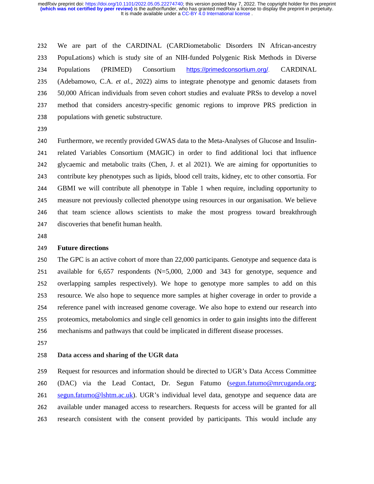<sup>232</sup>We are part of the CARDINAL (CARDiometabolic Disorders IN African-ancestry <sup>233</sup>PopuLations) which is study site of an NIH-funded Polygenic Risk Methods in Diverse 234 Populations (PRIMED) Consortium https://primedconsortium.org/. CARDINAL<br>235 (Adebamowo, C.A. *et al.*, 2022) aims to integrate phenotype and genomic datasets from <sup>235</sup>(Adebamowo, C.A. *et al.,* 2022) aims to integrate phenotype and genomic datasets from <sup>236</sup>50,000 African individuals from seven cohort studies and evaluate PRSs to develop a novel 237 method that considers ancestry-specific genomic regions to improve PRS prediction in 238 populations with genetic substructure.

240 Furthermore, we recently provided GWAS data to the Meta-Analyses of Glucose and Insulin-<br>241 Felated Variables Consortium (MAGIC) in order to find additional loci that influence 241 related Variables Consortium (MAGIC) in order to find additional loci that influence<br>242 elvcaemic and metabolic traits (Chen. J. et al 2021). We are aiming for opportunities to <sup>242</sup>glycaemic and metabolic traits (Chen, J. et al 2021). We are aiming for opportunities to 243 contribute key phenotypes such as lipids, blood cell traits, kidney, etc to other consortia. For<br>244 GBMI we will contribute all phenotype in Table 1 when require, including opportunity to <sup>244</sup>GBMI we will contribute all phenotype in Table 1 when require, including opportunity to 245 measure not previously collected phenotype using resources in our organisation. We believe<br>246 that team science allows scientists to make the most progress toward breakthrough that team science allows scientists to make the most progress toward breakthrough 247 discoveries that benefit human health.<br>248

248

# 249 **Future directions**<br>250 The GPC is an action

The GPC is an active cohort of more than 22,000 participants. Genotype and sequence data is 251 available for  $6,657$  respondents (N=5,000, 2,000 and 343 for genotype, sequence and 252 overlapping samples respectively). We hope to genotype more samples to add on this overlapping samples respectively). We hope to genotype more samples to add on this 253 resource. We also hope to sequence more samples at higher coverage in order to provide a<br>254 reference panel with increased genome coverage. We also hope to extend our research into 254 reference panel with increased genome coverage. We also hope to extend our research into<br>255 proteomics, metabolomics and single cell genomics in order to gain insights into the different <sup>255</sup>proteomics, metabolomics and single cell genomics in order to gain insights into the different 256 mechanisms and pathways that could be implicated in different disease processes.<br>257

#### <sup>258</sup>**Data access and sharing of the UGR data**

259 Request for resources and information should be directed to UGR's Data Access Committee<br>260 (DAC) via the Lead Contact. Dr. Segun Fatumo (segun.fatumo@mrcuganda.org: (DAC) via the Lead Contact, Dr. Segun Fatumo (segun.fatumo@mrcuganda.org; 261 segun.fatumo@lshtm.ac.uk). UGR's individual level data, genotype and sequence data are 262 available under managed access to researchers. Requests for access will be granted for all 263 research consistent with the consent provided by participants. This would include any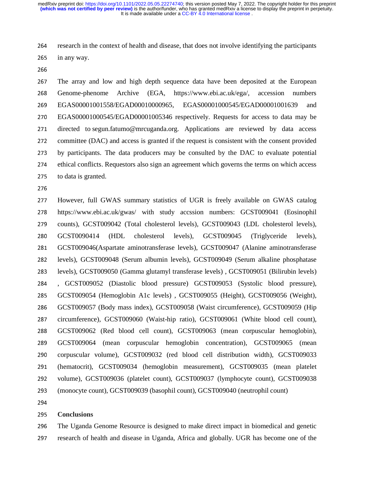<sup>264</sup>research in the context of health and disease, that does not involve identifying the participants  $265$  in any way.

266

<sup>267</sup>The array and low and high depth sequence data have been deposited at the European 268 Genome-phenome Archive (EGA, https://www.ebi.ac.uk/ega/, accession numbers <sup>269</sup>EGAS00001001558/EGAD00010000965, EGAS00001000545/EGAD00001001639 and <sup>270</sup>EGAS00001000545/EGAD00001005346 respectively. Requests for access to data may be 271 directed to segun.fatumo@mrcuganda.org. Applications are reviewed by data access 272 committee (DAC) and access is granted if the request is consistent with the consent provided 273 by participants. The data producers may be consulted by the DAC to evaluate potential<br>274 ethical conflicts. Requestors also sign an agreement which governs the terms on which access <sup>274</sup>ethical conflicts. Requestors also sign an agreement which governs the terms on which access 275 to data is granted.

However, full GWAS summary statistics of UGR is freely available on GWAS catalog https://www.ebi.ac.uk/gwas/ with study accssion numbers: GCST009041 (Eosinophil 279 counts), GCST009042 (Total cholesterol levels), GCST009043 (LDL cholesterol levels),<br>280 GCST0090414 (HDL cholesterol levels), GCST009045 (Triglyceride levels), 280 GCST0090414 (HDL cholesterol levels), GCST009045 (Triglyceride levels), GCST009046(Aspartate aminotransferase levels), GCST009047 (Alanine aminotransferase levels), GCST009048 (Serum albumin levels), GCST009049 (Serum alkaline phosphatase levels), GCST009050 (Gamma glutamyl transferase levels) , GCST009051 (Bilirubin levels) , GCST009052 (Diastolic blood pressure) GCST009053 (Systolic blood pressure), GCST009054 (Hemoglobin A1c levels) , GCST009055 (Height), GCST009056 (Weight), 286 GCST009057 (Body mass index), GCST009058 (Waist circumference), GCST009059 (Hip<br>287 circumference). GCST009060 (Waist-hip ratio). GCST009061 (White blood cell count). circumference), GCST009060 (Waist-hip ratio), GCST009061 (White blood cell count), GCST009062 (Red blood cell count), GCST009063 (mean corpuscular hemoglobin), GCST009064 (mean corpuscular hemoglobin concentration), GCST009065 (mean 290 corpuscular volume), GCST009032 (red blood cell distribution width), GCST009033<br>291 (hematocrit), GCST009034 (hemoglobin measurement), GCST009035 (mean platelet (hematocrit), GCST009034 (hemoglobin measurement), GCST009035 (mean platelet 292 volume), GCST009036 (platelet count), GCST009037 (lymphocyte count), GCST009038 (monocyte count), GCST009039 (basophil count), GCST009040 (neutrophil count)

#### <sup>295</sup>**Conclusions**

<sup>296</sup>The Uganda Genome Resource is designed to make direct impact in biomedical and genetic 297 research of health and disease in Uganda, Africa and globally. UGR has become one of the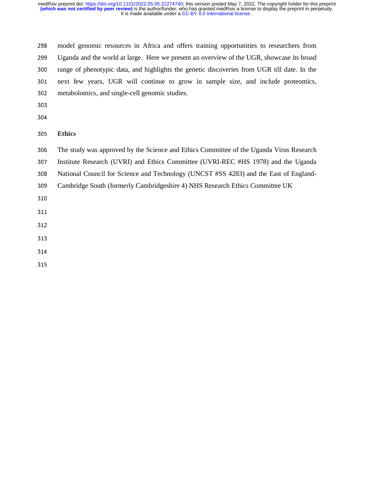<sup>298</sup>model genomic resources in Africa and offers training opportunities to researchers from <sup>299</sup>Uganda and the world at large. Here we present an overview of the UGR, showcase its broad 300 range of phenotypic data, and highlights the genetic discoveries from UGR till date. In the<br>301 next few years, UGR will continue to grow in sample size, and include proteomics, 301 next few years, UGR will continue to grow in sample size, and include proteomics, <br>302 metabolomics and single-cell genomic studies. metabolomics, and single-cell genomic studies.

304

<sup>305</sup>**Ethics** 

306 The study was approved by the Science and Ethics Committee of the Uganda Virus Research<br>307 Institute Research (UVRI) and Ethics Committee (UVRI-REC #HS 1978) and the Uganda

Institute Research (UVRI) and Ethics Committee (UVRI-REC #HS 1978) and the Uganda

308 National Council for Science and Technology (UNCST #SS 4283) and the East of England-<br>309 Cambridge South (formerly Cambridgeshire 4) NHS Research Ethics Committee UK

<sup>309</sup>Cambridge South (formerly Cambridgeshire 4) NHS Research Ethics Committee UK

310

- 312
- 313
- 
- 315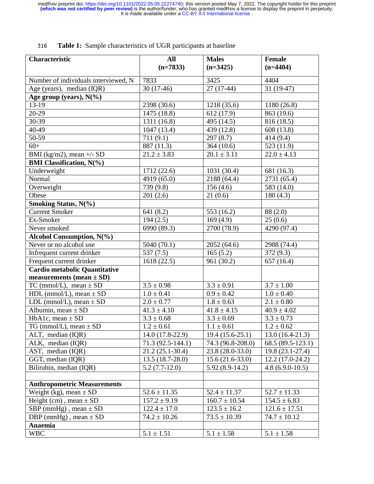| Characteristic                               | All                                  | <b>Males</b>                          | Female                                 |
|----------------------------------------------|--------------------------------------|---------------------------------------|----------------------------------------|
|                                              | $(n=7833)$                           | $(n=3425)$                            | $(n=4404)$                             |
| Number of individuals interviewed, N         | 7833                                 | 3425                                  | 4404                                   |
| Age (years), median (IQR)                    | $30(17-46)$                          | $27(17-44)$                           | $31(19-47)$                            |
| Age group (years), $N(\%$ )                  |                                      |                                       |                                        |
| 13-19                                        | 2398 (30.6)                          | 1218 (35.6)                           | 1180(26.8)                             |
| 20-29                                        | 1475 (18.8)                          | 612 (17.9)                            | 863 (19.6)                             |
| 30-39                                        | 1311 (16.8)                          | 495 (14.5)                            | 816 (18.5)                             |
| 40-49                                        | 1047 (13.4)                          | 439 (12.8)                            | 608 (13.8)                             |
| 50-59                                        | 711(9.1)                             | 297(8.7)                              | 414 (9.4)                              |
| $60+$                                        | 887 (11.3)                           | 364 (10.6)                            | 523 (11.9)                             |
| BMI (kg/m2), mean $+/-$ SD                   | $21.2 \pm 3.83$                      | $20.1 \pm 3.11$                       | $22.0 \pm 4.13$                        |
| <b>BMI</b> Classification, N(%)              |                                      |                                       |                                        |
| Underweight                                  | 1712 (22.6)                          | 1031(30.4)                            | 681 (16.3)                             |
| Normal                                       | 4919 (65.0)                          | 2188 (64.4)                           | 2731 (65.4)                            |
| Overweight                                   | 739 (9.8)                            | 156(4.6)                              | 583 (14.0)                             |
| Obese                                        | 201(2.6)                             | 21(0.6)                               | 180(4.3)                               |
| Smoking Status, N(%)                         |                                      |                                       |                                        |
| <b>Current Smoker</b>                        | 641 (8.2)                            | 553 (16.2)                            | 88 (2.0)                               |
| Ex-Smoker                                    | 194(2.5)                             | 169(4.9)                              | 25(0.6)                                |
| Never smoked                                 | 6990 (89.3)                          | 2700 (78.9)                           | 4290 (97.4)                            |
| Alcohol Consumption, N(%)                    |                                      |                                       |                                        |
| Never or no alcohol use                      | 5040 (70.1)                          | 2052(64.6)                            | 2988 (74.4)                            |
| Infrequent current drinker                   | 537(7.5)                             | 165(5.2)                              | 372(9.3)                               |
| Frequent current drinker                     | 1618 (22.5)                          | 961 (30.2)                            | 657(16.4)                              |
| <b>Cardio metabolic Quantitative</b>         |                                      |                                       |                                        |
| measurements (mean $\pm$ SD)                 |                                      |                                       |                                        |
| TC (mmol/L), mean $\pm$ SD                   | $3.5 \pm 0.98$                       | $3.3 \pm 0.91$                        | $3.7 \pm 1.00$                         |
| $HDL$ (mmol/L), mean $\pm$ SD                | $1.0 \pm 0.41$                       | $0.9 \pm 0.42$                        | $1.0 \pm 0.40$                         |
| LDL (mmol/L), mean $\pm$ SD                  | $2.0 \pm 0.77$                       | $1.8 \pm 0.63$                        | $2.1 \pm 0.80$                         |
| Albumin, mean $\pm$ SD                       | $41.3 \pm 4.10$                      | $41.8 \pm 4.15$                       | $40.9 \pm 4.02$                        |
| HbA1c, mean $\pm$ SD                         | $3.3 \pm 0.68$                       | $3.3 \pm 0.69$                        | $3.3 \pm 0.73$                         |
| TG (mmol/L), mean $\pm$ SD                   | $1.2 \pm 0.61$                       | $1.1 \pm 0.61$                        | $1.2 \pm 0.62$                         |
| ALT, median (IQR)                            | $14.0(17.8-22.9)$                    | $19.4(15.6-25.1)$                     | $13.0(16.4-21.3)$                      |
| ALK, median (IQR)                            | 71.3 (92.5-144.1)                    | 74.3 (96.8-208.0)                     | 68.5 (89.5-123.1)                      |
| AST, median (IQR)                            | $21.2(25.1-30.4)$                    | 23.8 (28.0-33.0)<br>$15.6(21.6-33.0)$ | $19.8(23.1-27.4)$                      |
| GGT, median (IQR)<br>Bilirubin, median (IQR) | $13.5(18.7-28.0)$<br>$5.2(7.7-12.0)$ | $5.92(8.9-14.2)$                      | $12.2(17.0-24.2)$<br>$4.8(6.9.0-10.5)$ |
|                                              |                                      |                                       |                                        |
| <b>Anthropometric Measurements</b>           |                                      |                                       |                                        |
| Weight (kg), mean $\pm$ SD                   | $52.6 \pm 11.35$                     | $52.4 \pm 11.37$                      | $52.7 \pm 11.33$                       |
| Height (cm), mean $\pm$ SD                   | $157.2 \pm 9.19$                     | $160.7 \pm 10.54$                     | $154.5 \pm 6.83$                       |
| SBP (mmHg), mean $\pm$ SD                    | $122.4 \pm 17.0$                     | $123.5 \pm 16.2$                      | $121.6 \pm 17.51$                      |
| DBP (mmHg), mean $\pm$ SD                    | $74.2 \pm 10.26$                     | $73.5 \pm 10.39$                      | $74.7 \pm 10.12$                       |
| Anaemia                                      |                                      |                                       |                                        |
| <b>WBC</b>                                   | $5.1 \pm 1.51$                       | $5.1 \pm 1.58$                        | $5.1 \pm 1.58$                         |
|                                              |                                      |                                       |                                        |

# <sup>316</sup>**Table 1:** Sample characteristics of UGR participants at baseline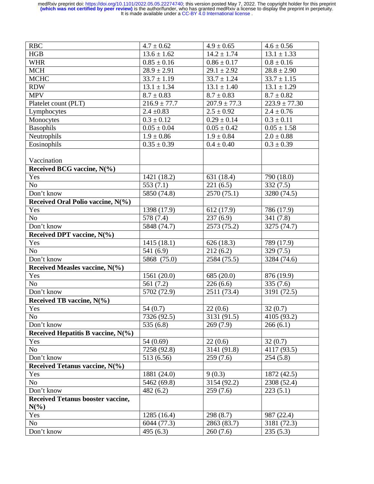| $\rm RBC$                                | $4.7 \pm 0.62$   | $4.9 \pm 0.65$   | $4.6 \pm 0.56$           |
|------------------------------------------|------------------|------------------|--------------------------|
| HGB                                      | $13.6 \pm 1.62$  | $14.2 \pm 1.74$  | $13.1 \pm 1.33$          |
| <b>WHR</b>                               | $0.85 \pm 0.16$  | $0.86 \pm 0.17$  | $0.8 \pm 0.16$           |
| <b>MCH</b>                               | $28.9 \pm 2.91$  | $29.1 \pm 2.92$  | $28.8 \pm 2.90$          |
| <b>MCHC</b>                              | $33.7 \pm 1.19$  | $33.7 \pm 1.24$  | $33.7 \pm 1.15$          |
| <b>RDW</b>                               | $13.1 \pm 1.34$  | $13.1 \pm 1.40$  | $13.1 \pm 1.29$          |
| <b>MPV</b>                               | $8.7 \pm 0.83$   | $8.7 \pm 0.83$   | $8.7 \pm 0.82$           |
| Platelet count (PLT)                     | $216.9 \pm 77.7$ | $207.9 \pm 77.3$ | $223.9 \pm 77.30$        |
| Lymphocytes                              | $2.4 \pm 0.83$   | $2.5 \pm 0.92$   | $2.4 \pm 0.76$           |
| Monocytes                                | $0.3 \pm 0.12$   | $0.29 \pm 0.14$  | $0.3 \pm 0.11$           |
| <b>Basophils</b>                         | $0.05 \pm 0.04$  | $0.05 \pm 0.42$  | $0.05 \pm 1.58$          |
| Neutrophils                              | $1.9 \pm 0.86$   | $1.9 \pm 0.84$   | $2.0\pm0.88$             |
| Eosinophils                              | $0.35 \pm 0.39$  | $0.4 \pm 0.40$   | $0.3 \pm 0.39$           |
|                                          |                  |                  |                          |
| Vaccination                              |                  |                  |                          |
| Received BCG vaccine, N(%)               |                  |                  |                          |
| Yes                                      | 1421 (18.2)      | 631 (18.4)       | 790 (18.0)               |
| No                                       | 553 $(7.1)$      | 221(6.5)         | 332(7.5)                 |
| Don't know                               | 5850 (74.8)      | 2570(75.1)       | 3280 (74.5)              |
| Received Oral Polio vaccine, N(%)        |                  |                  |                          |
| Yes                                      | 1398 (17.9)      | 612(17.9)        | 786 (17.9)               |
| N <sub>o</sub>                           | 578 (7.4)        | 237(6.9)         | 341 (7.8)                |
| Don't know                               | 5848 (74.7)      | 2573 (75.2)      | 3275 (74.7)              |
| Received DPT vaccine, $N(\%)$            |                  |                  |                          |
| Yes                                      | 1415(18.1)       | 626(18.3)        | 789 (17.9)               |
| N <sub>o</sub>                           | 541 (6.9)        | 212(6.2)         | 329(7.5)                 |
| Don't know                               | 5868 (75.0)      | 2584 (75.5)      | 3284 (74.6)              |
| Received Measles vaccine, N(%)           |                  |                  |                          |
| Yes                                      | 1561 (20.0)      | 685 (20.0)       | 876 (19.9)               |
| N <sub>o</sub>                           | 561(7.2)         | 226(6.6)         | 335(7.6)                 |
| Don't know                               | 5702 (72.9)      | 2511 (73.4)      | 3191 (72.5)              |
| Received TB vaccine, $N(\%)$             |                  |                  |                          |
| Yes                                      | 54(0.7)          | 22(0.6)          | 32(0.7)                  |
| N <sub>0</sub>                           | 7326 (92.5)      | 3131 (91.5)      | $\overline{4105}$ (93.2) |
| Don't know                               | 535 $(6.8)$      | 269(7.9)         | 266(6.1)                 |
| Received Hepatitis B vaccine, $N(\%)$    |                  |                  |                          |
| Yes                                      | 54 (0.69)        | 22(0.6)          | 32(0.7)                  |
| N <sub>o</sub>                           | 7258 (92.8)      | 3141 (91.8)      | 4117 (93.5)              |
| Don't know                               | 513 (6.56)       | 259(7.6)         | 254(5.8)                 |
| Received Tetanus vaccine, N(%)           |                  |                  |                          |
| Yes                                      | 1881 (24.0)      | 9(0.3)           | 1872 (42.5)              |
| No                                       | 5462 (69.8)      | 3154 (92.2)      | 2308 (52.4)              |
| Don't know                               | 482(6.2)         | 259(7.6)         | 223(5.1)                 |
| <b>Received Tetanus booster vaccine,</b> |                  |                  |                          |
| $N(\%)$                                  |                  |                  |                          |
| Yes                                      | 1285 (16.4)      | 298 (8.7)        | 987 (22.4)               |
| N <sub>o</sub>                           | 6044 (77.3)      | 2863 (83.7)      | 3181 (72.3)              |
| Don't know                               | 495 (6.3)        | 260(7.6)         | 235(5.3)                 |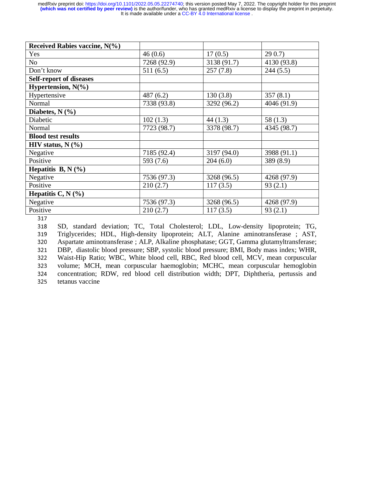| Received Rabies vaccine, N(%)  |             |             |             |
|--------------------------------|-------------|-------------|-------------|
| Yes                            | 46(0.6)     | 17(0.5)     | 290.7       |
| No                             | 7268 (92.9) | 3138 (91.7) | 4130 (93.8) |
| Don't know                     | 511(6.5)    | 257(7.8)    | 244(5.5)    |
| <b>Self-report of diseases</b> |             |             |             |
| Hypertension, $N(\% )$         |             |             |             |
| Hypertensive                   | 487(6.2)    | 130(3.8)    | 357(8.1)    |
| Normal                         | 7338 (93.8) | 3292 (96.2) | 4046 (91.9) |
| Diabetes, $N(\%)$              |             |             |             |
| Diabetic                       | 102(1.3)    | 44(1.3)     | 58(1.3)     |
| Normal                         | 7723 (98.7) | 3378 (98.7) | 4345 (98.7) |
| <b>Blood test results</b>      |             |             |             |
| HIV status, $N$ $(\%$          |             |             |             |
| Negative                       | 7185 (92.4) | 3197 (94.0) | 3988 (91.1) |
| Positive                       | 593 (7.6)   | 204(6.0)    | 389 (8.9)   |
| Hepatitis B, N $(\%)$          |             |             |             |
| Negative                       | 7536 (97.3) | 3268 (96.5) | 4268 (97.9) |
| Positive                       | 210(2.7)    | 117(3.5)    | 93(2.1)     |
| Hepatitis C, N $(\%)$          |             |             |             |
| Negative                       | 7536 (97.3) | 3268 (96.5) | 4268 (97.9) |
| Positive                       | 210(2.7)    | 117(3.5)    | 93(2.1)     |

317<br>318 318 SD, standard deviation; TC, Total Cholesterol; LDL, Low-density lipoprotein; TG, 319 Triglycerides; HDL, High-density lipoprotein; ALT, Alanine aminotransferase ; AST, 319 Triglycerides; HDL, High-density lipoprotein; ALT, Alanine aminotransferase ; AST, 320 Aspartate aminotransferase ; ALP, Alkaline phosphatase; GGT, Gamma glutamyltransferase; 320 Aspartate aminotransferase ; ALP, Alkaline phosphatase; GGT, Gamma glutamyltransferase; 321 DBP, diastolic blood pressure: SBP, systolic blood pressure: BMI, Body mass index: WHR, 321 DBP, diastolic blood pressure; SBP, systolic blood pressure; BMI, Body mass index; WHR, 322 Waist-Hip Ratio; WBC, White blood cell, RBC, Red blood cell, MCV, mean corpuscular 322 Waist-Hip Ratio; WBC, White blood cell, RBC, Red blood cell, MCV, mean corpuscular volume; MCH, mean corpuscular haemoglobin; MCHC, mean corpuscular hemoglobin 323 volume; MCH, mean corpuscular haemoglobin; MCHC, mean corpuscular hemoglobin<br>324 concentration; RDW, red blood cell distribution width; DPT, Diphtheria, pertussis and 324 concentration; RDW, red blood cell distribution width; DPT, Diphtheria, pertussis and tetanus vaccine tetanus vaccine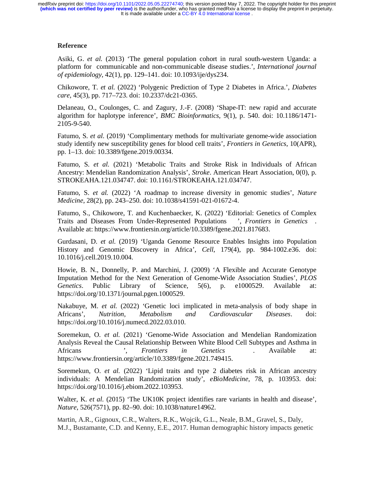# **Reference**

Asiki, G. *et al.* (2013) 'The general population cohort in rural south-western Uganda: a platform for communicable and non-communicable disease studies.', *International journal of epidemiology*, 42(1), pp. 129–141. doi: 10.1093/ije/dys234.

Chikowore, T. *et al.* (2022) 'Polygenic Prediction of Type 2 Diabetes in Africa.', *Diabetes care*, 45(3), pp. 717–723. doi: 10.2337/dc21-0365.

Delaneau, O., Coulonges, C. and Zagury, J.-F. (2008) 'Shape-IT: new rapid and accurate algorithm for haplotype inference', *BMC Bioinformatics*, 9(1), p. 540. doi: 10.1186/1471- 2105-9-540.

Fatumo, S. *et al.* (2019) 'Complimentary methods for multivariate genome-wide association study identify new susceptibility genes for blood cell traits', *Frontiers in Genetics*, 10(APR), pp. 1–13. doi: 10.3389/fgene.2019.00334.

Fatumo, S. *et al.* (2021) 'Metabolic Traits and Stroke Risk in Individuals of African Ancestry: Mendelian Randomization Analysis', *Stroke*. American Heart Association, 0(0), p. STROKEAHA.121.034747. doi: 10.1161/STROKEAHA.121.034747.

Fatumo, S. *et al.* (2022) 'A roadmap to increase diversity in genomic studies', *Nature Medicine*, 28(2), pp. 243–250. doi: 10.1038/s41591-021-01672-4.

Fatumo, S., Chikowore, T. and Kuchenbaecker, K. (2022) 'Editorial: Genetics of Complex Traits and Diseases From Under-Represented Populations ', *Frontiers in Genetics* . Available at: https://www.frontiersin.org/article/10.3389/fgene.2021.817683.

Gurdasani, D. *et al.* (2019) 'Uganda Genome Resource Enables Insights into Population History and Genomic Discovery in Africa', *Cell*, 179(4), pp. 984-1002.e36. doi: 10.1016/j.cell.2019.10.004.

Howie, B. N., Donnelly, P. and Marchini, J. (2009) 'A Flexible and Accurate Genotype Imputation Method for the Next Generation of Genome-Wide Association Studies', *PLOS Genetics*. Public Library of Science, 5(6), p. e1000529. Available at: https://doi.org/10.1371/journal.pgen.1000529.

Nakabuye, M. *et al.* (2022) 'Genetic loci implicated in meta-analysis of body shape in Africans', *Nutrition, Metabolism and Cardiovascular Diseases*. doi: https://doi.org/10.1016/j.numecd.2022.03.010.

Soremekun, O. *et al.* (2021) 'Genome-Wide Association and Mendelian Randomization Analysis Reveal the Causal Relationship Between White Blood Cell Subtypes and Asthma in Africans ', *Frontiers in Genetics* . Available at: https://www.frontiersin.org/article/10.3389/fgene.2021.749415.

Soremekun, O. *et al.* (2022) 'Lipid traits and type 2 diabetes risk in African ancestry individuals: A Mendelian Randomization study', *eBioMedicine*, 78, p. 103953. doi: https://doi.org/10.1016/j.ebiom.2022.103953.

Walter, K. *et al.* (2015) 'The UK10K project identifies rare variants in health and disease', *Nature*, 526(7571), pp. 82–90. doi: 10.1038/nature14962.

Martin, A.R., Gignoux, C.R., Walters, R.K., Wojcik, G.L., Neale, B.M., Gravel, S., Daly, M.J., Bustamante, C.D. and Kenny, E.E., 2017. Human demographic history impacts genetic